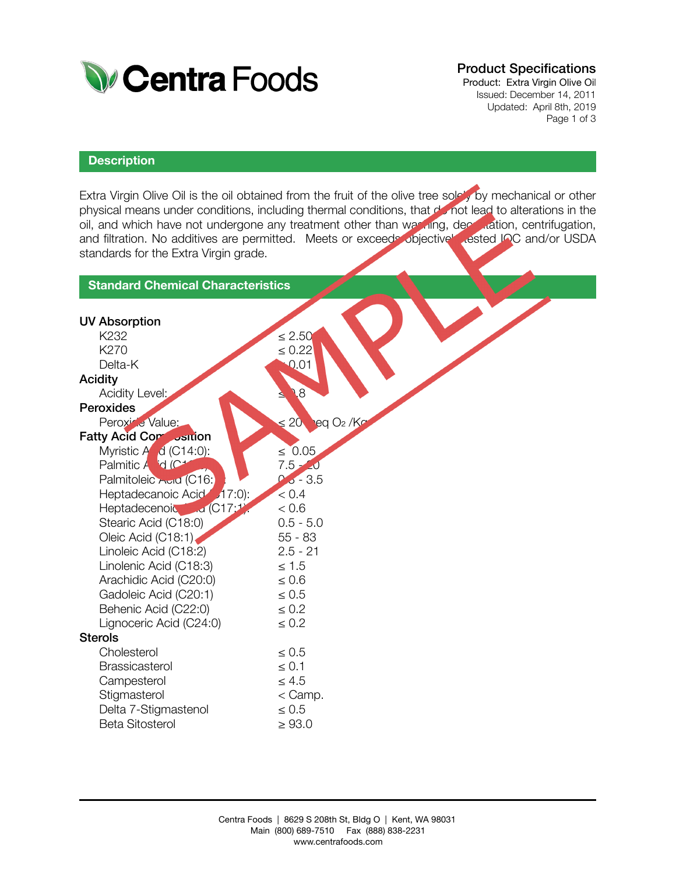

## Product Specifications

Product: Extra Virgin Olive Oil Issued: December 14, 2011 Updated: April 8th, 2019 Page 1 of 3

### **Description**

Extra Virgin Olive Oil is the oil obtained from the fruit of the olive tree solely by mechanical or other physical means under conditions, including thermal conditions, that do not lead to alterations in the oil, and which have not undergone any treatment other than washing, decantation, centrifugation, and filtration. No additives are permitted. Meets or exceeds objectively tested IOC and/or USDA standards for the Extra Virgin grade.

| <b>Standard Chemical Characteristics</b> |                                             |  |  |
|------------------------------------------|---------------------------------------------|--|--|
|                                          |                                             |  |  |
| <b>UV Absorption</b>                     |                                             |  |  |
| K <sub>232</sub>                         | $\leq 2.50$                                 |  |  |
| K270                                     | $\leq 0.22$                                 |  |  |
| Delta-K                                  | 0.01                                        |  |  |
| <b>Acidity</b>                           |                                             |  |  |
| Acidity Level:                           | 8.                                          |  |  |
| Peroxides                                |                                             |  |  |
| Peroxice Value:                          | $\leq 20$ eq O <sub>2</sub> /K <sup>o</sup> |  |  |
| <b>Fatty Acid Con</b> Justion            |                                             |  |  |
| Myristic $A$ $d$ (C14:0):                | $\leq 0.05$                                 |  |  |
| Palmitic A d (C+                         | $7.5 - 0$                                   |  |  |
| Palmitoleic Auid (C16:                   | $0.5 - 3.5$                                 |  |  |
| Heptadecanoic Acid 17:0):                | < 0.4                                       |  |  |
| Heptadecenoic di (C17:1                  | < 0.6                                       |  |  |
| Stearic Acid (C18:0)                     | $0.5 - 5.0$                                 |  |  |
| Oleic Acid (C18:1)                       | $55 - 83$                                   |  |  |
| Linoleic Acid (C18:2)                    | $2.5 - 21$                                  |  |  |
| Linolenic Acid (C18:3)                   | $\leq 1.5$                                  |  |  |
| Arachidic Acid (C20:0)                   | $\leq 0.6$                                  |  |  |
| Gadoleic Acid (C20:1)                    | $\leq 0.5$                                  |  |  |
| Behenic Acid (C22:0)                     | $\leq 0.2$                                  |  |  |
| Lignoceric Acid (C24:0)                  | $\leq 0.2$                                  |  |  |
| <b>Sterols</b>                           |                                             |  |  |
| Cholesterol                              | $\leq 0.5$                                  |  |  |
| <b>Brassicasterol</b>                    | $\leq 0.1$                                  |  |  |
| Campesterol                              | $\leq 4.5$                                  |  |  |
| Stigmasterol                             | $<$ Camp.                                   |  |  |
| Delta 7-Stigmastenol                     | $\leq 0.5$                                  |  |  |
| <b>Beta Sitosterol</b>                   | $\geq 93.0$                                 |  |  |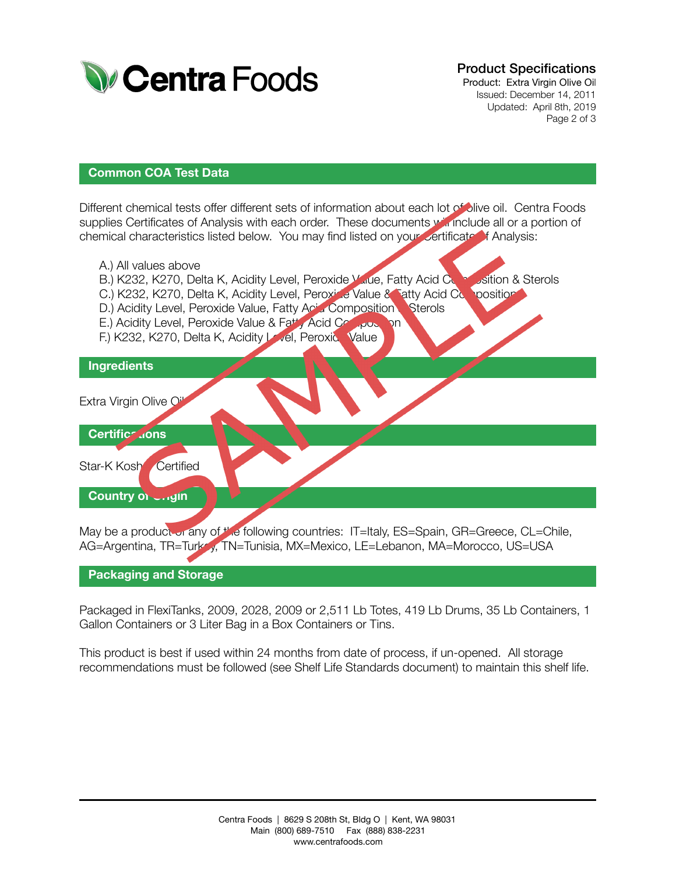

## Product Specifications

Product: Extra Virgin Olive Oil Issued: December 14, 2011 Updated: April 8th, 2019 Page 2 of 3

### **Common COA Test Data**

Different chemical tests offer different sets of information about each lot of olive oil. Centra Foods supplies Certificates of Analysis with each order. These documents will include all or a portion of chemical characteristics listed below. You may find listed on your certificate of Analysis:

A.) All values above B.) K232, K270, Delta K, Acidity Level, Peroxide Value, Fatty Acid Composition & Sterols C.) K232, K270, Delta K, Acidity Level, Peroxide Value & Fatty Acid Composition D.) Acidity Level, Peroxide Value, Fatty Acid Composition Sterols E.) Acidity Level, Peroxide Value & Fatty Acid Composition F.) K232, K270, Delta K, Acidity Level, Peroxid Value Extra Virgin Olive Oi Star-K Kosh Certified May be a product or any of the following countries: IT=Italy, ES=Spain, GR=Greece, CL=Chile, **Ingredients Country of Unigin Certifications** 

#### **Packaging and Storage**

Packaged in FlexiTanks, 2009, 2028, 2009 or 2,511 Lb Totes, 419 Lb Drums, 35 Lb Containers, 1 Gallon Containers or 3 Liter Bag in a Box Containers or Tins.

AG=Argentina, TR=Turky, TN=Tunisia, MX=Mexico, LE=Lebanon, MA=Morocco, US=USA

This product is best if used within 24 months from date of process, if un-opened. All storage recommendations must be followed (see Shelf Life Standards document) to maintain this shelf life.